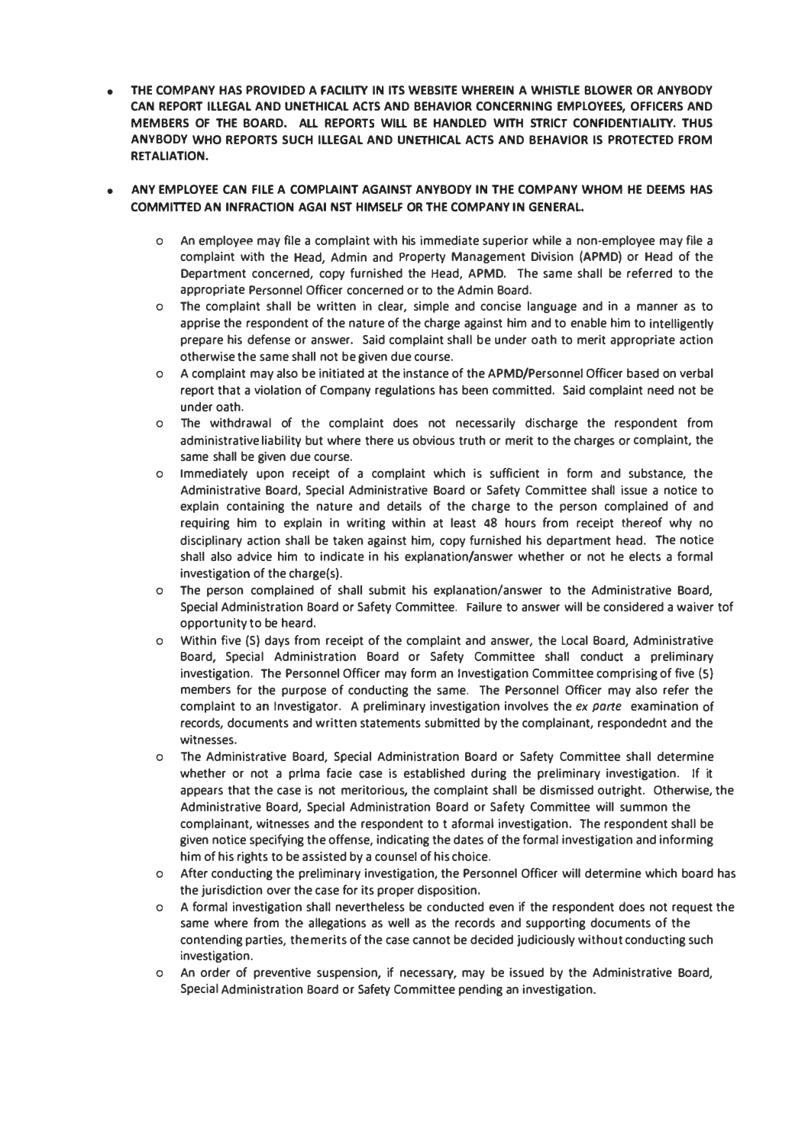**• THE COMPANY HAS PROVIDED A FACILITY IN ITS WEBSITE WHEREIN A WHISTLE BLOWER OR ANYBODY CAN REPORT ILLEGAL AND UNETHICAL ACTS AND BEHAVIOR CONCERNING EMPLOYEES, OFFICERS AND MEMBERS Of THE BOARD, AU REPORTS WIU BE HANDLED WITH STRICT CONFIDENTIALITY. THUS ANYBODY WHO REPORTS SUCH ILLEGAL AND UNETHICAL ACTS AND BEHAVIOR IS PROTECTED FROM RETALIATION.**

## **• ANY EMPLOYEE CAN FILE A COMPLAINT AGAINST ANYBODY IN THE COMPANY WHOM HE DEEMS HAS COMMITTED AN INFRACTION AGAI NST HIMSELF OR THE COMPANY IN GENERAL.**

- **o An employee may file a complaint with his immediate superior while a non-employee may file a complaint with the Head, Admin and Property Management Division (APMD) or Head of the Department concerned, copy furnished the Head, APMD. The same shall be referred to the appropriate Personnel Officer concerned or to the Admin Board.**
- **o The complaint shall be written in dear, simple and concise language and in a manner as to apprise the respondent of the nature of the charge against him and to enable him to intelligently prepare his defense or answer. Said complaint shall be under oath to merit appropriate action otherwise the same shall not be given due course.**
- **o A complaint may also be initiated at the instance of the APMD/Personnel Officer based on verbal report that a violation of Company regulations has been committed. Said complaint need not be under oath.**
- **o The withdrawal of** *the* **complaint does not necessarily discharge the respondent from administrative liability but where there us obvious truth or merit to the charges or complaint, the same shall be given due course.**
- **o Immediately upon receipt of a complaint which is sufficient in form and substance, the Administrative Board, Special Administrative Board or Safety Committee shall issue a notice to explain containing the nature and details of the charge to the person complained of and requiring him to explain in writing within at least 48 hours from receipt** *thereof* **why no disciplinary action shall be taken against him, copy furnished his department head. The notice shall also advice him to indicate in his explanation/answer whether or not he elects a formal investigation of the charge(s).**
- **o The person complained of shall submit his explanation/answer to the Administrative Board, Special Administration Soard or Safety Committee. Failure to answer will be considered a waiver tof opportunity to be heard.**
- **o Within five (S) days from receipt of the complaint and answer, the Local Board, Administrative Board, Special Administration Board or Safety Committee shall conduct a preliminary investigation. The Personnel Officer may form an Investigation Committee comprising of five (5) members for the purpose of conducting the same. The Personnel Officer may also refer the complaint to an Investigator. A preliminary investigation involves the** *ex parte* **examination of records, documents and written statements submitted by the complainant, respondednt and the witnesses.**
- **o The Administrative Board, Special Administration Board or Safety Committee shall determine whether or not a prlma facie case is established during the preliminary investigation. If it appears that the case is not meritorious, the complaint shall be dismissed outright. Otherwise, the Administrative Board, Special Administration Board or Safety Committee will summon the complainant, witnesses and the respondent to t aformal investigation. The respondent shall be given notice specifying the offense, indicating the dates of the formal investigation and informing him of his rights to be assisted by a counsel of his choice.**
- **o After conducting the preliminary investigation, the Personnel Officer will determine which board has the jurisdiction over the case for its proper disposition.**
- **o A formal investigation shall nevertheless be conducted even if the respondent does not request the same where from** *the* **allegations as well as the records and supporting documents of the contending parties, the merits of the case cannot be decided judiciously without conducting such investigation.**
- **o An order of preventive suspension, if necessary, may be issued by the Administrative Board, Special Administration Soard or Safety Committee pending an Investigation.**